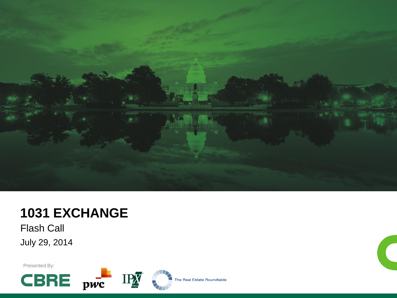

## **1031 EXCHANGE**

Flash Call July 29, 2014

Presented By:

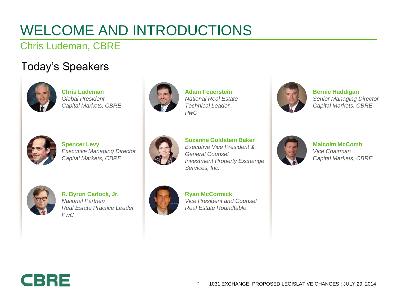# WELCOME AND INTRODUCTIONS

### Chris Ludeman, CBRE

### Today's Speakers



**Chris Ludeman** *Global President Capital Markets, CBRE*



**Adam Feuerstein** *National Real Estate Technical Leader PwC*



**Bernie Haddigan** *Senior Managing Director Capital Markets, CBRE*



**Spencer Levy** *Executive Managing Director Capital Markets, CBRE*



**Suzanne Goldstein Baker** *Executive Vice President & General Counsel Investment Property Exchange Services, Inc.*



**Malcolm McComb** *Vice Chairman Capital Markets, CBRE*



**R. Byron Carlock, Jr.** *National Partner/ Real Estate Practice Leader PwC*



**Ryan McCormick** *Vice President and Counsel Real Estate Roundtable*

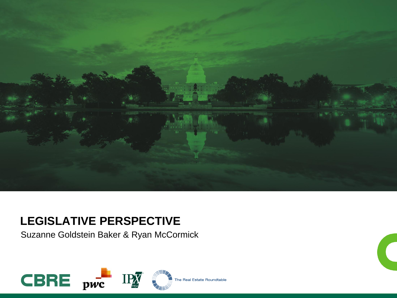

### **LEGISLATIVE PERSPECTIVE**

Suzanne Goldstein Baker & Ryan McCormick

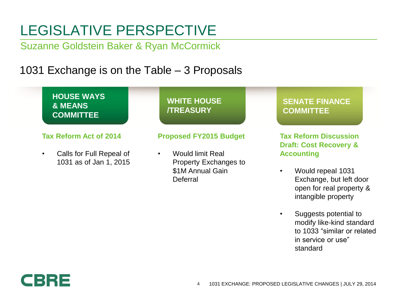# LEGISLATIVE PERSPECTIVE

Suzanne Goldstein Baker & Ryan McCormick

### 1031 Exchange is on the Table – 3 Proposals



modify like-kind standard to 1033 "similar or related in service or use" standard

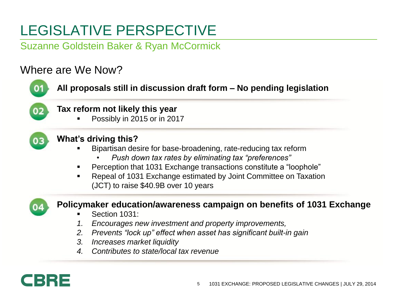# LEGISLATIVE PERSPECTIVE

Suzanne Goldstein Baker & Ryan McCormick

### Where are We Now?

| Tax reform not likely this year |                                                                       |
|---------------------------------|-----------------------------------------------------------------------|
| $\blacksquare$                  | Possibly in 2015 or in 2017                                           |
|                                 | What's driving this?                                                  |
|                                 | Bipartisan desire for base-broadening, rate-reducing tax reform       |
|                                 | Push down tax rates by eliminating tax "preferences"                  |
| п                               | Perception that 1031 Exchange transactions constitute a "loophole"    |
| $\blacksquare$                  | Repeal of 1031 Exchange estimated by Joint Committee on Taxation      |
|                                 | (JCT) to raise \$40.9B over 10 years                                  |
|                                 | Policymaker education/awareness campaign on benefits of 1031 Exchange |
| п                               | Section 1031:                                                         |
| 1.                              | Encourages new investment and property improvements,                  |
| 2.                              | Prevents "lock up" effect when asset has significant built-in gain    |
|                                 |                                                                       |
| 3.                              | Increases market liquidity                                            |

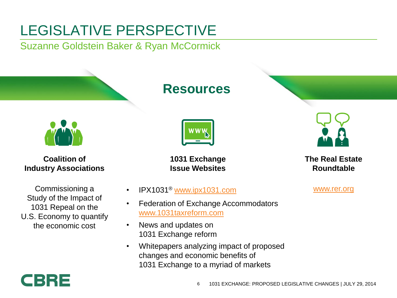# LEGISLATIVE PERSPECTIVE

Suzanne Goldstein Baker & Ryan McCormick

**Coalition of Industry Associations**

Commissioning a Study of the Impact of 1031 Repeal on the U.S. Economy to quantify the economic cost

# CBRE

### **Resources**



**1031 Exchange Issue Websites**

- IPX1031® [www.ipx1031.com](http://www.ipx1031.com)
- Federation of Exchange Accommodators [www.1031taxreform.com](http://www.1031taxreform.com)
- News and updates on 1031 Exchange reform
- Whitepapers analyzing impact of proposed changes and economic benefits of 1031 Exchange to a myriad of markets





**The Real Estate Roundtable** 

[www.rer.org](http://www.rer.org)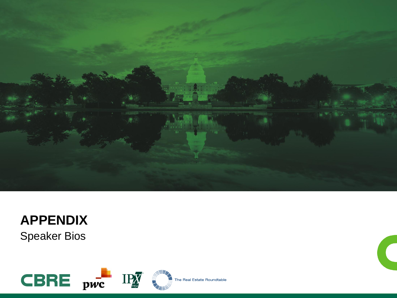

## **APPENDIX** Speaker Bios

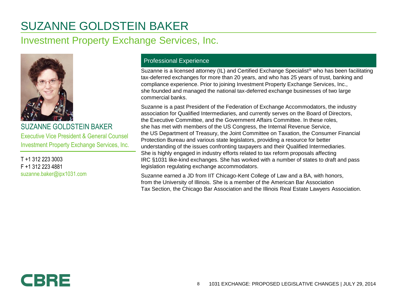### SUZANNE GOLDSTEIN BAKER

### Investment Property Exchange Services, Inc.



SUZANNE GOLDSTEIN BAKER Executive Vice President & General Counsel Investment Property Exchange Services, Inc.

T +1 312 223 3003 F +1 312 223 4881 suzanne.baker@ipx1031.com

### Professional Experience

Suzanne is a licensed attorney (IL) and Certified Exchange Specialist® who has been facilitating tax-deferred exchanges for more than 20 years, and who has 25 years of trust, banking and compliance experience. Prior to joining Investment Property Exchange Services, Inc., she founded and managed the national tax-deferred exchange businesses of two large commercial banks.

Suzanne is a past President of the Federation of Exchange Accommodators, the industry association for Qualified Intermediaries, and currently serves on the Board of Directors, the Executive Committee, and the Government Affairs Committee. In these roles, she has met with members of the US Congress, the Internal Revenue Service, the US Department of Treasury, the Joint Committee on Taxation, the Consumer Financial Protection Bureau and various state legislators, providing a resource for better understanding of the issues confronting taxpayers and their Qualified Intermediaries. She is highly engaged in industry efforts related to tax reform proposals affecting IRC §1031 like-kind exchanges. She has worked with a number of states to draft and pass legislation regulating exchange accommodators.

Suzanne earned a JD from IIT Chicago-Kent College of Law and a BA, with honors, from the University of Illinois. She is a member of the American Bar Association Tax Section, the Chicago Bar Association and the Illinois Real Estate Lawyers Association.